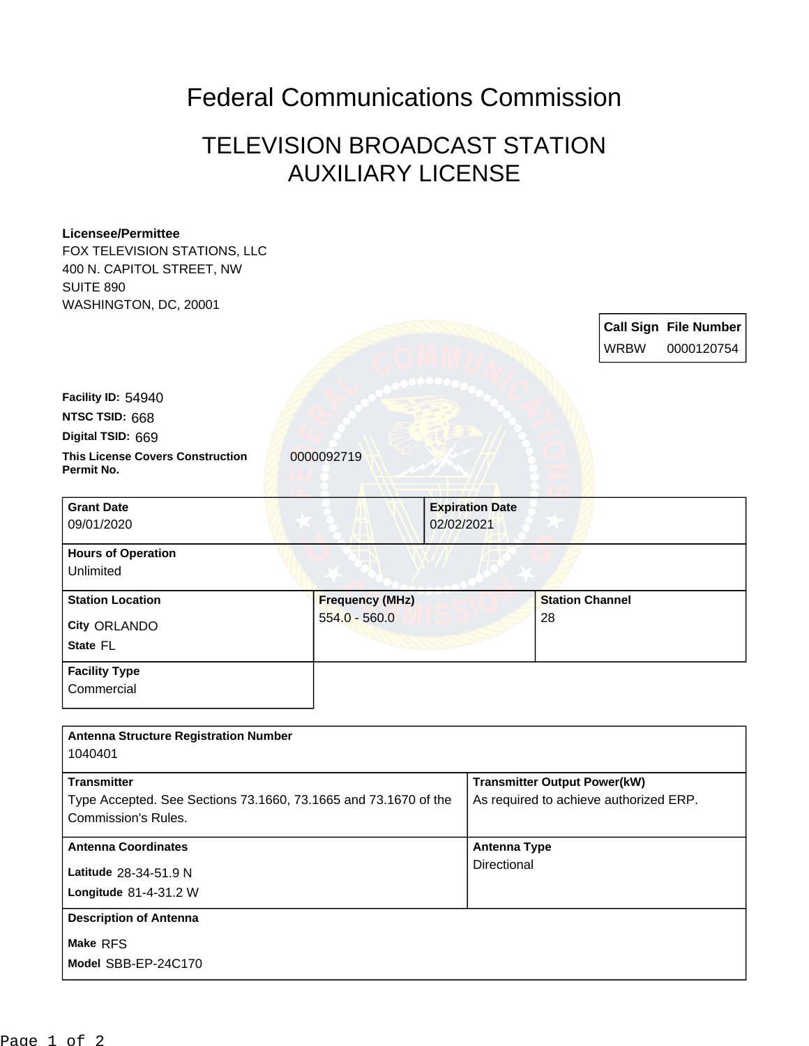## Federal Communications Commission

## TELEVISION BROADCAST STATION AUXILIARY LICENSE

## **Licensee/Permittee**

FOX TELEVISION STATIONS, LLC 400 N. CAPITOL STREET, NW SUITE 890 WASHINGTON, DC, 20001

| <u>VYAJITIINU I UN, DU, ZUUU I</u>                    |                        |                        |                        |             |                              |
|-------------------------------------------------------|------------------------|------------------------|------------------------|-------------|------------------------------|
|                                                       |                        |                        |                        |             | <b>Call Sign File Number</b> |
|                                                       |                        |                        |                        | <b>WRBW</b> | 0000120754                   |
|                                                       |                        |                        |                        |             |                              |
| Facility ID: 54940                                    |                        |                        |                        |             |                              |
| NTSC TSID: 668                                        |                        |                        |                        |             |                              |
| Digital TSID: 669                                     |                        |                        |                        |             |                              |
| <b>This License Covers Construction</b><br>Permit No. | 0000092719             |                        |                        |             |                              |
| <b>Grant Date</b>                                     |                        | <b>Expiration Date</b> |                        |             |                              |
| 09/01/2020                                            |                        | 02/02/2021             |                        |             |                              |
| <b>Hours of Operation</b>                             |                        |                        |                        |             |                              |
| Unlimited                                             |                        |                        |                        |             |                              |
| <b>Station Location</b>                               | <b>Frequency (MHz)</b> |                        | <b>Station Channel</b> |             |                              |
| City ORLANDO                                          | $554.0 - 560.0$        |                        | 28                     |             |                              |
| State FL                                              |                        |                        |                        |             |                              |
| <b>Facility Type</b>                                  |                        |                        |                        |             |                              |
| Commercial                                            |                        |                        |                        |             |                              |
|                                                       |                        |                        |                        |             |                              |

| <b>Antenna Structure Registration Number</b>                                                                 |                                                                               |
|--------------------------------------------------------------------------------------------------------------|-------------------------------------------------------------------------------|
| 1040401                                                                                                      |                                                                               |
| <b>Transmitter</b><br>Type Accepted. See Sections 73.1660, 73.1665 and 73.1670 of the<br>Commission's Rules. | <b>Transmitter Output Power(kW)</b><br>As required to achieve authorized ERP. |
| <b>Antenna Coordinates</b>                                                                                   | Antenna Type                                                                  |
| Latitude 28-34-51.9 N<br>Longitude 81-4-31.2 W                                                               | Directional                                                                   |
| <b>Description of Antenna</b>                                                                                |                                                                               |
| Make RFS<br>Model SBB-EP-24C170                                                                              |                                                                               |